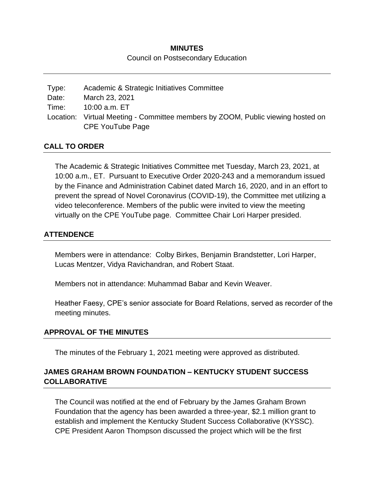# **MINUTES** Council on Postsecondary Education

| Type: | Academic & Strategic Initiatives Committee                                      |
|-------|---------------------------------------------------------------------------------|
| Date: | March 23, 2021                                                                  |
| Time: | 10:00 a.m. ET                                                                   |
|       | Location: Virtual Meeting - Committee members by ZOOM, Public viewing hosted on |
|       | CPE YouTube Page                                                                |

## **CALL TO ORDER**

The Academic & Strategic Initiatives Committee met Tuesday, March 23, 2021, at 10:00 a.m., ET. Pursuant to Executive Order 2020-243 and a memorandum issued by the Finance and Administration Cabinet dated March 16, 2020, and in an effort to prevent the spread of Novel Coronavirus (COVID-19), the Committee met utilizing a video teleconference. Members of the public were invited to view the meeting virtually on the CPE YouTube page. Committee Chair Lori Harper presided.

# **ATTENDENCE**

Members were in attendance: Colby Birkes, Benjamin Brandstetter, Lori Harper, Lucas Mentzer, Vidya Ravichandran, and Robert Staat.

Members not in attendance: Muhammad Babar and Kevin Weaver.

Heather Faesy, CPE's senior associate for Board Relations, served as recorder of the meeting minutes.

### **APPROVAL OF THE MINUTES**

The minutes of the February 1, 2021 meeting were approved as distributed.

# **JAMES GRAHAM BROWN FOUNDATION – KENTUCKY STUDENT SUCCESS COLLABORATIVE**

The Council was notified at the end of February by the James Graham Brown Foundation that the agency has been awarded a three-year, \$2.1 million grant to establish and implement the Kentucky Student Success Collaborative (KYSSC). CPE President Aaron Thompson discussed the project which will be the first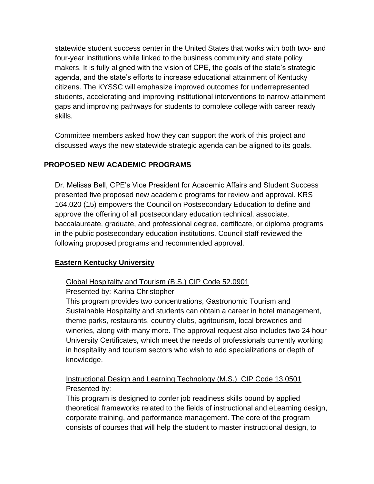statewide student success center in the United States that works with both two- and four-year institutions while linked to the business community and state policy makers. It is fully aligned with the vision of CPE, the goals of the state's strategic agenda, and the state's efforts to increase educational attainment of Kentucky citizens. The KYSSC will emphasize improved outcomes for underrepresented students, accelerating and improving institutional interventions to narrow attainment gaps and improving pathways for students to complete college with career ready skills.

Committee members asked how they can support the work of this project and discussed ways the new statewide strategic agenda can be aligned to its goals.

# **PROPOSED NEW ACADEMIC PROGRAMS**

Dr. Melissa Bell, CPE's Vice President for Academic Affairs and Student Success presented five proposed new academic programs for review and approval. KRS 164.020 (15) empowers the Council on Postsecondary Education to define and approve the offering of all postsecondary education technical, associate, baccalaureate, graduate, and professional degree, certificate, or diploma programs in the public postsecondary education institutions. Council staff reviewed the following proposed programs and recommended approval.

# **Eastern Kentucky University**

# Global Hospitality and Tourism (B.S.) CIP Code 52.0901

# Presented by: Karina Christopher

This program provides two concentrations, Gastronomic Tourism and Sustainable Hospitality and students can obtain a career in hotel management, theme parks, restaurants, country clubs, agritourism, local breweries and wineries, along with many more. The approval request also includes two 24 hour University Certificates, which meet the needs of professionals currently working in hospitality and tourism sectors who wish to add specializations or depth of knowledge.

Instructional Design and Learning Technology (M.S.) CIP Code 13.0501 Presented by:

This program is designed to confer job readiness skills bound by applied theoretical frameworks related to the fields of instructional and eLearning design, corporate training, and performance management. The core of the program consists of courses that will help the student to master instructional design, to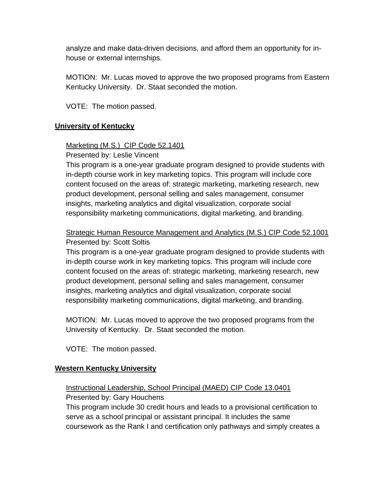analyze and make data-driven decisions, and afford them an opportunity for inhouse or external internships.

MOTION: Mr. Lucas moved to approve the two proposed programs from Eastern Kentucky University. Dr. Staat seconded the motion.

VOTE: The motion passed.

## **University of Kentucky**

## Marketing (M.S.) CIP Code 52.1401

Presented by: Leslie Vincent

This program is a one-year graduate program designed to provide students with in-depth course work in key marketing topics. This program will include core content focused on the areas of: strategic marketing, marketing research, new product development, personal selling and sales management, consumer insights, marketing analytics and digital visualization, corporate social responsibility marketing communications, digital marketing, and branding.

# Strategic Human Resource Management and Analytics (M.S.) CIP Code 52.1001 Presented by: Scott Soltis

This program is a one-year graduate program designed to provide students with in-depth course work in key marketing topics. This program will include core content focused on the areas of: strategic marketing, marketing research, new product development, personal selling and sales management, consumer insights, marketing analytics and digital visualization, corporate social responsibility marketing communications, digital marketing, and branding.

MOTION: Mr. Lucas moved to approve the two proposed programs from the University of Kentucky. Dr. Staat seconded the motion.

VOTE: The motion passed.

### **Western Kentucky University**

# Instructional Leadership, School Principal (MAED) CIP Code 13.0401 Presented by: Gary Houchens

This program include 30 credit hours and leads to a provisional certification to serve as a school principal or assistant principal. It includes the same coursework as the Rank I and certification only pathways and simply creates a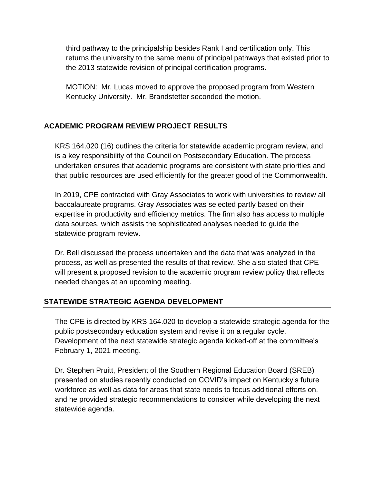third pathway to the principalship besides Rank I and certification only. This returns the university to the same menu of principal pathways that existed prior to the 2013 statewide revision of principal certification programs.

MOTION: Mr. Lucas moved to approve the proposed program from Western Kentucky University. Mr. Brandstetter seconded the motion.

# **ACADEMIC PROGRAM REVIEW PROJECT RESULTS**

KRS 164.020 (16) outlines the criteria for statewide academic program review, and is a key responsibility of the Council on Postsecondary Education. The process undertaken ensures that academic programs are consistent with state priorities and that public resources are used efficiently for the greater good of the Commonwealth.

In 2019, CPE contracted with Gray Associates to work with universities to review all baccalaureate programs. Gray Associates was selected partly based on their expertise in productivity and efficiency metrics. The firm also has access to multiple data sources, which assists the sophisticated analyses needed to guide the statewide program review.

Dr. Bell discussed the process undertaken and the data that was analyzed in the process, as well as presented the results of that review. She also stated that CPE will present a proposed revision to the academic program review policy that reflects needed changes at an upcoming meeting.

# **STATEWIDE STRATEGIC AGENDA DEVELOPMENT**

The CPE is directed by KRS 164.020 to develop a statewide strategic agenda for the public postsecondary education system and revise it on a regular cycle. Development of the next statewide strategic agenda kicked-off at the committee's February 1, 2021 meeting.

Dr. Stephen Pruitt, President of the Southern Regional Education Board (SREB) presented on studies recently conducted on COVID's impact on Kentucky's future workforce as well as data for areas that state needs to focus additional efforts on, and he provided strategic recommendations to consider while developing the next statewide agenda.